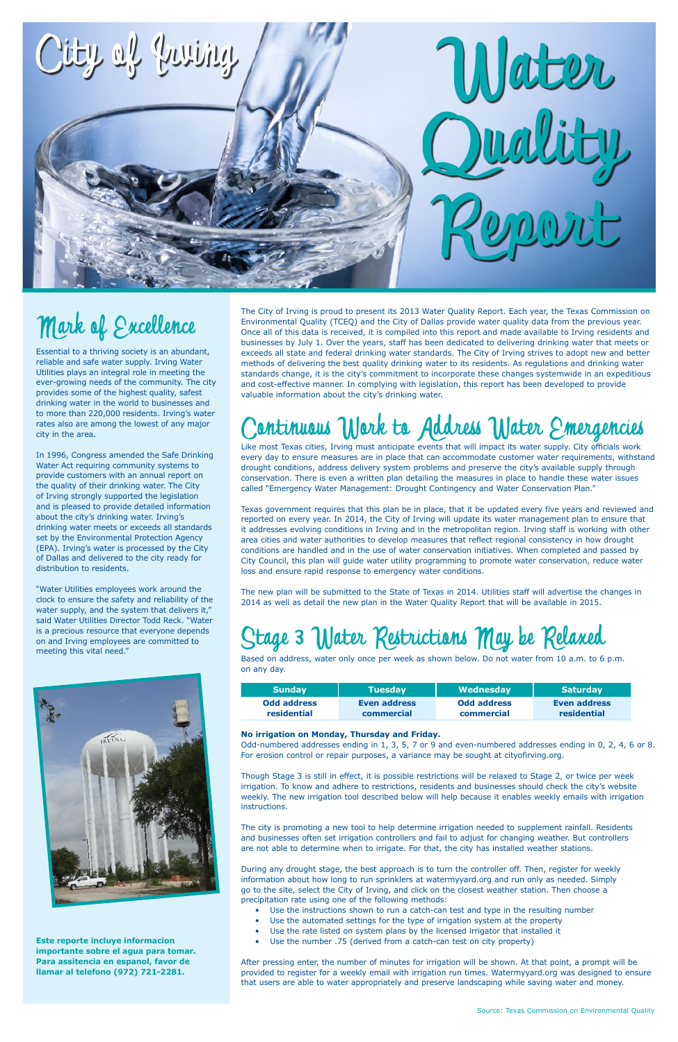

## Mark of Excellence

Based on address, water only once per week as shown below. Do not water from 10 a.m. to 6 p.m. on any day.

| <b>Sunday</b>      | <b>Tuesday</b> | Wednesday          | <b>Saturday</b> |
|--------------------|----------------|--------------------|-----------------|
| <b>Odd address</b> | Even address   | <b>Odd address</b> | Even address    |
| residential        | commercial     | commercial         | residential     |

#### **No irrigation on Monday, Thursday and Friday.**

Odd-numbered addresses ending in 1, 3, 5, 7 or 9 and even-numbered addresses ending in 0, 2, 4, 6 or 8. For erosion control or repair purposes, a variance may be sought at cityofirving.org.

Though Stage 3 is still in effect, it is possible restrictions will be relaxed to Stage 2, or twice per week irrigation. To know and adhere to restrictions, residents and businesses should check the city's website weekly. The new irrigation tool described below will help because it enables weekly emails with irrigation instructions.

The city is promoting a new tool to help determine irrigation needed to supplement rainfall. Residents and businesses often set irrigation controllers and fail to adjust for changing weather. But controllers are not able to determine when to irrigate. For that, the city has installed weather stations.

During any drought stage, the best approach is to turn the controller off. Then, register for weekly information about how long to run sprinklers at watermyyard.org and run only as needed. Simply go to the site, select the City of Irving, and click on the closest weather station. Then choose a precipitation rate using one of the following methods:

- Use the instructions shown to run a catch-can test and type in the resulting number
- Use the automated settings for the type of irrigation system at the property
- Use the rate listed on system plans by the licensed irrigator that installed it
- Use the number .75 (derived from a catch-can test on city property)

After pressing enter, the number of minutes for irrigation will be shown. At that point, a prompt will be provided to register for a weekly email with irrigation run times. Watermyyard.org was designed to ensure that users are able to water appropriately and preserve landscaping while saving water and money.

Essential to a thriving society is an abundant, reliable and safe water supply. Irving Water Utilities plays an integral role in meeting the ever-growing needs of the community. The city provides some of the highest quality, safest drinking water in the world to businesses and to more than 220,000 residents. Irving's water rates also are among the lowest of any major city in the area.

In 1996, Congress amended the Safe Drinking Water Act requiring community systems to provide customers with an annual report on the quality of their drinking water. The City of Irving strongly supported the legislation and is pleased to provide detailed information about the city's drinking water. Irving's drinking water meets or exceeds all standards set by the Environmental Protection Agency (EPA). Irving's water is processed by the City of Dallas and delivered to the city ready for distribution to residents.

"Water Utilities employees work around the clock to ensure the safety and reliability of the water supply, and the system that delivers it," said Water Utilities Director Todd Reck. "Water is a precious resource that everyone depends on and Irving employees are committed to meeting this vital need."



**Este reporte incluye informacion importante sobre el agua para tomar. Para assitencia en espanol, favor de llamar al telefono (972) 721-2281.**

Like most Texas cities, Irving must anticipate events that will impact its water supply. City officials work every day to ensure measures are in place that can accommodate customer water requirements, withstand drought conditions, address delivery system problems and preserve the city's available supply through conservation. There is even a written plan detailing the measures in place to handle these water issues called "Emergency Water Management: Drought Contingency and Water Conservation Plan."

Texas government requires that this plan be in place, that it be updated every five years and reviewed and reported on every year. In 2014, the City of Irving will update its water management plan to ensure that it addresses evolving conditions in Irving and in the metropolitan region. Irving staff is working with other area cities and water authorities to develop measures that reflect regional consistency in how drought conditions are handled and in the use of water conservation initiatives. When completed and passed by City Council, this plan will guide water utility programming to promote water conservation, reduce water loss and ensure rapid response to emergency water conditions.

The new plan will be submitted to the State of Texas in 2014. Utilities staff will advertise the changes in 2014 as well as detail the new plan in the Water Quality Report that will be available in 2015.

## Stage 3 Water Restrictions May be Relaxed

The City of Irving is proud to present its 2013 Water Quality Report. Each year, the Texas Commission on Environmental Quality (TCEQ) and the City of Dallas provide water quality data from the previous year. Once all of this data is received, it is compiled into this report and made available to Irving residents and businesses by July 1. Over the years, staff has been dedicated to delivering drinking water that meets or exceeds all state and federal drinking water standards. The City of Irving strives to adopt new and better methods of delivering the best quality drinking water to its residents. As regulations and drinking water standards change, it is the city's commitment to incorporate these changes systemwide in an expeditious and cost-effective manner. In complying with legislation, this report has been developed to provide valuable information about the city's drinking water.

## antinuous Work to Address Water Emergencies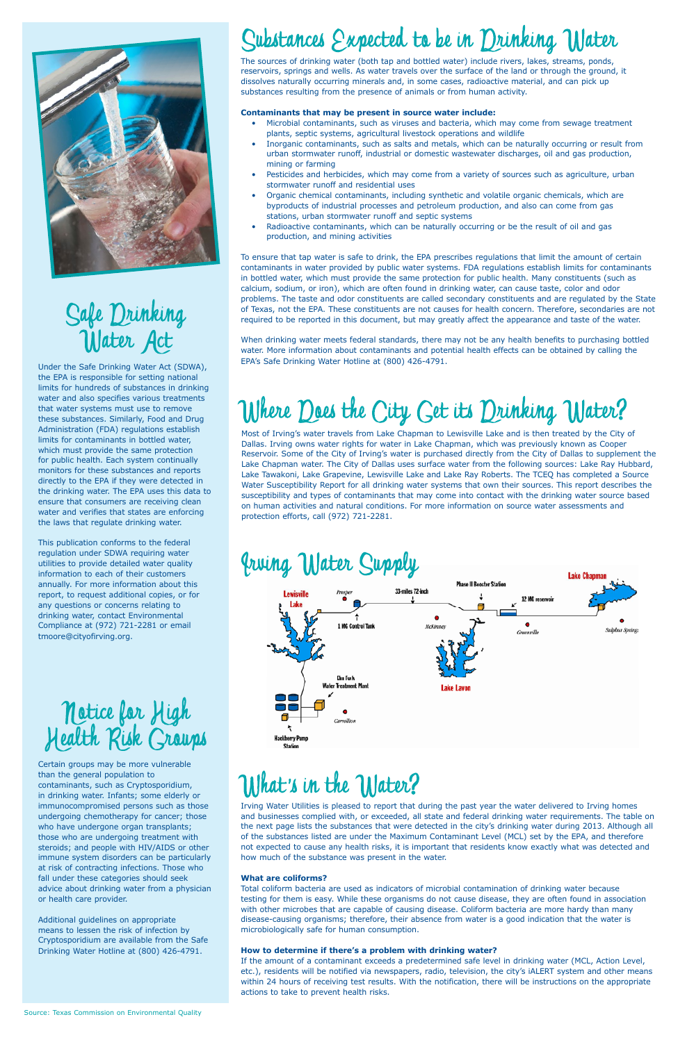

# Safe Drinking

Most of Irving's water travels from Lake Chapman to Lewisville Lake and is then treated by the City of Dallas. Irving owns water rights for water in Lake Chapman, which was previously known as Cooper Reservoir. Some of the City of Irving's water is purchased directly from the City of Dallas to supplement the Lake Chapman water. The City of Dallas uses surface water from the following sources: Lake Ray Hubbard, Lake Tawakoni, Lake Grapevine, Lewisville Lake and Lake Ray Roberts. The TCEQ has completed a Source Water Susceptibility Report for all drinking water systems that own their sources. This report describes the susceptibility and types of contaminants that may come into contact with the drinking water source based on human activities and natural conditions. For more information on source water assessments and protection efforts, call (972) 721-2281.



Under the Safe Drinking Water Act (SDWA), the EPA is responsible for setting national limits for hundreds of substances in drinking water and also specifies various treatments that water systems must use to remove these substances. Similarly, Food and Drug Administration (FDA) regulations establish limits for contaminants in bottled water, which must provide the same protection for public health. Each system continually monitors for these substances and reports directly to the EPA if they were detected in the drinking water. The EPA uses this data to ensure that consumers are receiving clean water and verifies that states are enforcing the laws that regulate drinking water.

This publication conforms to the federal regulation under SDWA requiring water utilities to provide detailed water quality information to each of their customers annually. For more information about this report, to request additional copies, or for any questions or concerns relating to drinking water, contact Environmental Compliance at (972) 721-2281 or email tmoore@cityofirving.org.



## Substances Expected to be in Drinking Water

Certain groups may be more vulnerable than the general population to contaminants, such as Cryptosporidium, in drinking water. Infants; some elderly or immunocompromised persons such as those undergoing chemotherapy for cancer; those who have undergone organ transplants; those who are undergoing treatment with steroids; and people with HIV/AIDS or other immune system disorders can be particularly at risk of contracting infections. Those who fall under these categories should seek advice about drinking water from a physician or health care provider.

Additional guidelines on appropriate means to lessen the risk of infection by Cryptosporidium are available from the Safe Drinking Water Hotline at (800) 426-4791.

## What's in the Water?

The sources of drinking water (both tap and bottled water) include rivers, lakes, streams, ponds, reservoirs, springs and wells. As water travels over the surface of the land or through the ground, it dissolves naturally occurring minerals and, in some cases, radioactive material, and can pick up substances resulting from the presence of animals or from human activity.

#### **Contaminants that may be present in source water include:**

- Microbial contaminants, such as viruses and bacteria, which may come from sewage treatment plants, septic systems, agricultural livestock operations and wildlife
- Inorganic contaminants, such as salts and metals, which can be naturally occurring or result from urban stormwater runoff, industrial or domestic wastewater discharges, oil and gas production, mining or farming
- Pesticides and herbicides, which may come from a variety of sources such as agriculture, urban stormwater runoff and residential uses
- Organic chemical contaminants, including synthetic and volatile organic chemicals, which are byproducts of industrial processes and petroleum production, and also can come from gas stations, urban stormwater runoff and septic systems
- Radioactive contaminants, which can be naturally occurring or be the result of oil and gas production, and mining activities

To ensure that tap water is safe to drink, the EPA prescribes regulations that limit the amount of certain contaminants in water provided by public water systems. FDA regulations establish limits for contaminants in bottled water, which must provide the same protection for public health. Many constituents (such as calcium, sodium, or iron), which are often found in drinking water, can cause taste, color and odor problems. The taste and odor constituents are called secondary constituents and are regulated by the State of Texas, not the EPA. These constituents are not causes for health concern. Therefore, secondaries are not required to be reported in this document, but may greatly affect the appearance and taste of the water.

When drinking water meets federal standards, there may not be any health benefits to purchasing bottled water. More information about contaminants and potential health effects can be obtained by calling the EPA's Safe Drinking Water Hotline at (800) 426-4791.

## Where Does the City Get its Drinking Water?

Irving Water Utilities is pleased to report that during the past year the water delivered to Irving homes and businesses complied with, or exceeded, all state and federal drinking water requirements. The table on the next page lists the substances that were detected in the city's drinking water during 2013. Although all of the substances listed are under the Maximum Contaminant Level (MCL) set by the EPA, and therefore not expected to cause any health risks, it is important that residents know exactly what was detected and how much of the substance was present in the water.

#### **What are coliforms?**

Total coliform bacteria are used as indicators of microbial contamination of drinking water because testing for them is easy. While these organisms do not cause disease, they are often found in association with other microbes that are capable of causing disease. Coliform bacteria are more hardy than many disease-causing organisms; therefore, their absence from water is a good indication that the water is microbiologically safe for human consumption.

#### **How to determine if there's a problem with drinking water?**

If the amount of a contaminant exceeds a predetermined safe level in drinking water (MCL, Action Level, etc.), residents will be notified via newspapers, radio, television, the city's iALERT system and other means within 24 hours of receiving test results. With the notification, there will be instructions on the appropriate actions to take to prevent health risks.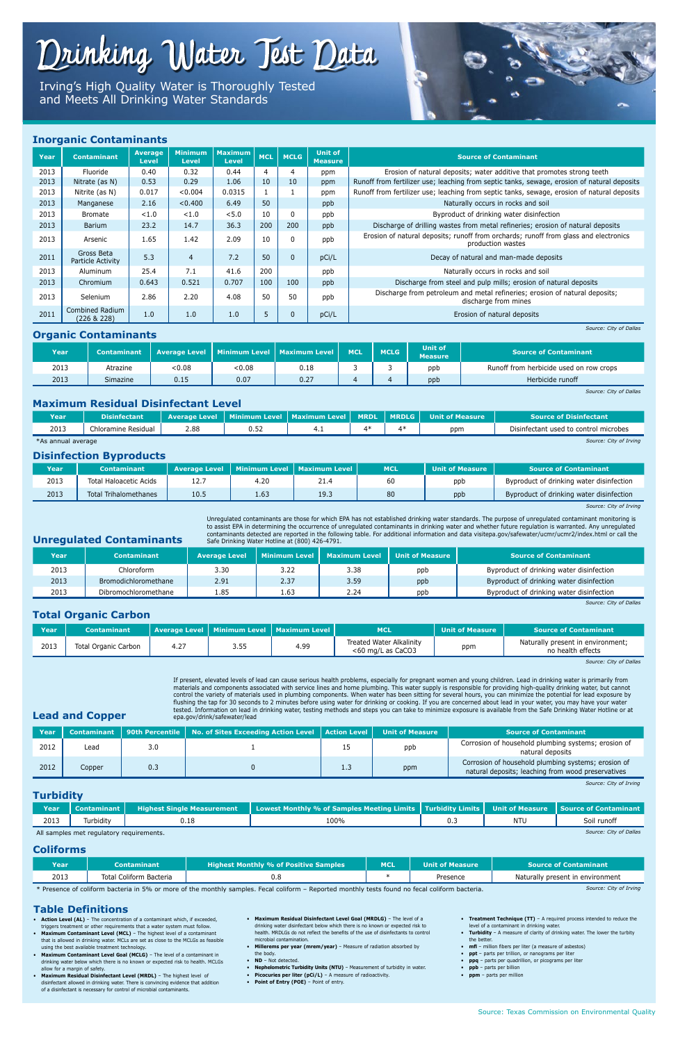#### **Table Definitions**

- **Action Level (AL)** The concentration of a contaminant which, if exceeded, triggers treatment or other requirements that a water system must follow.
- **Maximum Contaminant Level (MCL)** The highest level of a contaminant that is allowed in drinking water. MCLs are set as close to the MCLGs as feasible using the best available treatment technology.
- **Maximum Contaminant Level Goal (MCLG)** The level of a contaminant in drinking water below which there is no known or expected risk to health. MCLGs allow for a margin of safety.
- **Maximum Residual Disinfectant Level (MRDL)** The highest level of disinfectant allowed in drinking water. There is convincing evidence that addition of a disinfectant is necessary for control of microbial contaminants.
- **Maximum Residual Disinfectant Level Goal (MRDLG)** The level of a drinking water disinfectant below which there is no known or expected risk to health. MRDLGs do not reflect the benefits of the use of disinfectants to control microbial contamination.
- **Millerems per year (mrem/year)**  Measure of radiation absorbed by the body.
- **ND** Not detected.
- **Nephelometric Turbidity Units (NTU)** Measurement of turbidity in water.
- **Picocuries per liter (pCi/L)** A measure of radioactivity.
- **Point of Entry (POE)** Point of entry.
- **Treatment Technique (TT)** A required process intended to reduce the level of a contaminant in drinking water.
- **Turbidity**  A measure of clarity of drinking water. The lower the turbity the better.
- **mfl** million fibers per liter (a measure of asbestos)
- **ppt** parts per trillion, or nanograms per liter
- **ppq** parts per quadrillion, or picograms per liter
- **ppb** parts per billion
- **ppm** parts per million

**Lead and Copper**

If present, elevated levels of lead can cause serious health problems, especially for pregnant women and young children. Lead in drinking water is primarily from materials and components associated with service lines and home plumbing. This water supply is responsible for providing high-quality drinking water, but cannot control the variety of materials used in plumbing components. When water has been sitting for several hours, you can minimize the potential for lead exposure by flushing the tap for 30 seconds to 2 minutes before using water for drinking or cooking. If you are concerned about lead in your water, you may have your water tested. Information on lead in drinking water, testing methods and steps you can take to minimize exposure is available from the Safe Drinking Water Hotline or at epa.gov/drink/safewater/lead

| Year |        |     | Contaminant   90th Percentile   No. of Sites Exceeding Action Level   Action Level |               | <b>Unit of Measure</b> | Source of Contaminant \                                                                                   |
|------|--------|-----|------------------------------------------------------------------------------------|---------------|------------------------|-----------------------------------------------------------------------------------------------------------|
| 2012 | Lead   | 3.0 |                                                                                    | ᆂᆑ            | ppb                    | Corrosion of household plumbing systems; erosion of<br>natural deposits                                   |
| 2012 | Copper | 0.3 |                                                                                    | $1.3^{\circ}$ | ppm                    | Corrosion of household plumbing systems; erosion of<br>natural deposits; leaching from wood preservatives |

*Source: City of Irving*

#### **Inorganic Contaminants**

| Year | <b>Contaminant</b>              | <b>Average</b><br><b>Level</b> | <b>Minimum</b><br><b>Level</b> | <b>Maximum</b><br><b>Level</b> | <b>MCL</b> | <b>MCLG</b>  | <b>Unit of</b><br><b>Measure</b> | <b>Source of Contaminant</b>                                                                              |
|------|---------------------------------|--------------------------------|--------------------------------|--------------------------------|------------|--------------|----------------------------------|-----------------------------------------------------------------------------------------------------------|
| 2013 | Fluoride                        | 0.40                           | 0.32                           | 0.44                           | -4         | -4           | ppm                              | Erosion of natural deposits; water additive that promotes strong teeth                                    |
| 2013 | Nitrate (as N)                  | 0.53                           | 0.29                           | 1.06                           | 10         | 10           | ppm                              | Runoff from fertilizer use; leaching from septic tanks, sewage, erosion of natural deposits               |
| 2013 | Nitrite (as N)                  | 0.017                          | < 0.004                        | 0.0315                         |            |              | ppm                              | Runoff from fertilizer use; leaching from septic tanks, sewage, erosion of natural deposits               |
| 2013 | Manganese                       | 2.16                           | < 0.400                        | 6.49                           | 50         |              | ppb                              | Naturally occurs in rocks and soil                                                                        |
| 2013 | Bromate                         | < 1.0                          | < 1.0                          | < 5.0                          | 10         | 0            | ppb                              | Byproduct of drinking water disinfection                                                                  |
| 2013 | Barium                          | 23.2                           | 14.7                           | 36.3                           | 200        | 200          | ppb                              | Discharge of drilling wastes from metal refineries; erosion of natural deposits                           |
| 2013 | Arsenic                         | 1.65                           | 1.42                           | 2.09                           | 10         | 0            | ppb                              | Erosion of natural deposits; runoff from orchards; runoff from glass and electronics<br>production wastes |
| 2011 | Gross Beta<br>Particle Activity | 5.3                            | $\overline{4}$                 | 7.2                            | 50         | $\mathbf{0}$ | pCi/L                            | Decay of natural and man-made deposits                                                                    |
| 2013 | Aluminum                        | 25.4                           | 7.1                            | 41.6                           | 200        |              | ppb                              | Naturally occurs in rocks and soil                                                                        |
| 2013 | Chromium                        | 0.643                          | 0.521                          | 0.707                          | 100        | 100          | ppb                              | Discharge from steel and pulp mills; erosion of natural deposits                                          |
| 2013 | Selenium                        | 2.86                           | 2.20                           | 4.08                           | 50         | 50           | ppb                              | Discharge from petroleum and metal refineries; erosion of natural deposits;<br>discharge from mines       |
| 2011 | Combined Radium<br>(226 & 228)  | 1.0                            | 1.0                            | 1.0                            | 5          | $\mathbf 0$  | pCi/L                            | Erosion of natural deposits                                                                               |

*Source: City of Dallas*

#### **Organic Contaminants**

| Year | Contaminant     |       | Average Level   Minimum Level   Maximum Level   \ |      | <b>MCL</b> | <b>MCLG</b> | <b>Unit of</b><br><b>Measure</b>               | <b>Source of Contaminant</b> |
|------|-----------------|-------|---------------------------------------------------|------|------------|-------------|------------------------------------------------|------------------------------|
| 2013 | Atrazine        | <0.08 | < 0.08                                            | 0.18 |            |             | Runoff from herbicide used on row crops<br>ppb |                              |
| 2013 | <b>Simazine</b> | 0.15  | 0.07                                              | 0.27 |            |             | ppb                                            | Herbicide runoff             |

*Source: City of Dallas*

#### **Maximum Residual Disinfectant Level**

| <b>Year</b>        | <b>Disinfectant</b> |      |      | Average Level   Minimum Level   Maximum Level   MRDL | <b>TI MRDLG L</b> | <b>Nunit of Measure</b> | <b>Source of Disinfectant</b>         |
|--------------------|---------------------|------|------|------------------------------------------------------|-------------------|-------------------------|---------------------------------------|
| 2013               | Chloramine Residual | 2.88 | 0.52 | . .                                                  | 4*                | ppm                     | Disinfectant used to control microbes |
| *As annual average |                     |      |      |                                                      |                   |                         | Source: City of Irving                |

#### **Disinfection Byproducts**

| <b>Year</b> | <b>Contaminant</b>           | <b>Average Level</b> |      | Minimum Level   Maximum Level  | <b>MCL</b> | <b>NUnit of Measure <math>^{\prime}</math></b> | <b>Source of Contaminant</b>             |
|-------------|------------------------------|----------------------|------|--------------------------------|------------|------------------------------------------------|------------------------------------------|
| 2013        | Total Haloacetic Acids       | 14.,                 | 4.20 | <u>. 7</u>                     | 60         | ppb                                            | Byproduct of drinking water disinfection |
| 2013        | <b>Total Trihalomethanes</b> | 10.5                 | 1.63 | 10 <sup>7</sup><br><b>19.9</b> | 80         | ppb                                            | Byproduct of drinking water disinfection |

*Source: City of Irving*

**Unregulated Contaminants**

Unregulated contaminants are those for which EPA has not established drinking water standards. The purpose of unregulated contaminant monitoring is to assist EPA in determining the occurrence of unregulated contaminants in drinking water and whether future regulation is warranted. Any unregulated contaminants detected are reported in the following table. For additional information and data visitepa.gov/safewater/ucmr/ucmr2/index.html or call the Safe Drinking Water Hotline at (800) 426-4791.

| Year | Contaminant          | <b>Average Level</b> | Minimum Level | <b>Maximum Level</b> | <b>Unit of Measure</b> | Source of Contaminant                    |
|------|----------------------|----------------------|---------------|----------------------|------------------------|------------------------------------------|
| 2013 | Chloroform           | 3.30                 | 3.22          | 3.38                 | ppb                    | Byproduct of drinking water disinfection |
| 2013 | Bromodichloromethane | 2.91                 | 2.37          | 3.59                 | ppb                    | Byproduct of drinking water disinfection |
| 2013 | Dibromochloromethane | 1.85                 | 1.63          | 2.24                 | ppb                    | Byproduct of drinking water disinfection |

*Source: City of Dallas*

#### **Turbidity**

| Year | Contaminant <i>L</i>                     | <b>Highest Single Measurement</b> | Lowest Monthly % of Samples Meeting Limits   Turbidity Limits   Unit of Measure   Source of Contaminant |     |            |                        |
|------|------------------------------------------|-----------------------------------|---------------------------------------------------------------------------------------------------------|-----|------------|------------------------|
| 2013 | Turbidity                                |                                   | 100%                                                                                                    | ◡.◡ | <b>NTU</b> | Soil runoff            |
|      | All samples met regulatory requirements. |                                   |                                                                                                         |     |            | Source: City of Dallas |

#### **Coliforms**

| Year                                                                            | Contaminant             | <b>Highest Monthly % of Positive Samples</b>                                                                             | <b>MCL</b> | Unit of Measure | <b>Source of Contaminant</b>                                                                                    |
|---------------------------------------------------------------------------------|-------------------------|--------------------------------------------------------------------------------------------------------------------------|------------|-----------------|-----------------------------------------------------------------------------------------------------------------|
| 2013                                                                            | Total Coliform Bacteria | v.o                                                                                                                      |            | Presence        | Naturally present in environment                                                                                |
| the contract of the contract of the contract of the contract of the contract of |                         | the contract of the contract of the contract of the contract of the contract of the contract of the contract of<br>_____ |            |                 | the contract of the contract of the contract of the contract of the contract of the contract of the contract of |

\* Presence of coliform bacteria in 5% or more of the monthly samples. Fecal coliform – Reported monthly tests found no fecal coliform bacteria. *Source: City of Irving*

#### **Total Organic Carbon**

| Year | <b>Contaminant</b>   |      |             | Average Level   Minimum Level   Maximum Level   1 | <b>MCL</b>                                              | <b>Unit of Measure</b> | <b>Source of Contaminant</b>                           |
|------|----------------------|------|-------------|---------------------------------------------------|---------------------------------------------------------|------------------------|--------------------------------------------------------|
| 2013 | Total Organic Carbon | 4.27 | <b>J.JJ</b> | 4.99                                              | <b>Treated Water Alkalinity</b><br>$<$ 60 mg/L as CaCO3 | ppm                    | Naturally present in environment;<br>no health effects |

*Source: City of Dallas*

## Drinking Water Test Data

Irving's High Quality Water is Thoroughly Tested and Meets All Drinking Water Standards